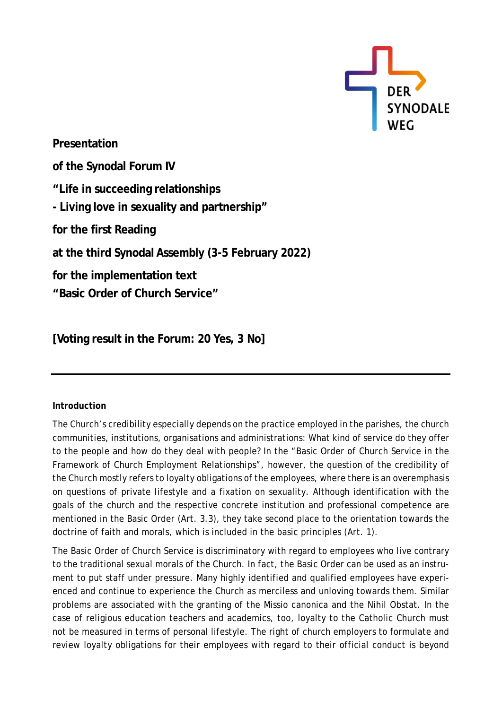

**Presentation of the Synodal Forum IV "Life in succeeding relationships - Living love in sexuality and partnership" for the first Reading at the third Synodal Assembly (3-5 February 2022) for the implementation text "Basic Order of Church Service"**

**[Voting result in the Forum: 20 Yes, 3 No]**

## **Introduction**

The Church's credibility especially depends on the practice employed in the parishes, the church communities, institutions, organisations and administrations: What kind of service do they offer to the people and how do they deal with people? In the "Basic Order of Church Service in the Framework of Church Employment Relationships", however, the question of the credibility of the Church mostly refers to loyalty obligations of the employees, where there is an overemphasis on questions of private lifestyle and a fixation on sexuality. Although identification with the goals of the church and the respective concrete institution and professional competence are mentioned in the Basic Order (Art. 3.3), they take second place to the orientation towards the doctrine of faith and morals, which is included in the basic principles (Art. 1).

The Basic Order of Church Service is discriminatory with regard to employees who live contrary to the traditional sexual morals of the Church. In fact, the Basic Order can be used as an instrument to put staff under pressure. Many highly identified and qualified employees have experienced and continue to experience the Church as merciless and unloving towards them. Similar problems are associated with the granting of the Missio canonica and the Nihil Obstat. In the case of religious education teachers and academics, too, loyalty to the Catholic Church must not be measured in terms of personal lifestyle. The right of church employers to formulate and review loyalty obligations for their employees with regard to their official conduct is beyond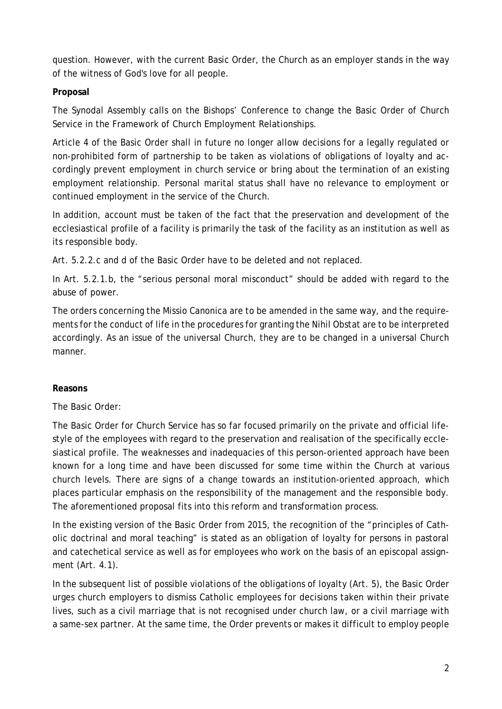question. However, with the current Basic Order, the Church as an employer stands in the way of the witness of God's love for all people.

## **Proposal**

The Synodal Assembly calls on the Bishops' Conference to change the Basic Order of Church Service in the Framework of Church Employment Relationships.

Article 4 of the Basic Order shall in future no longer allow decisions for a legally regulated or non-prohibited form of partnership to be taken as violations of obligations of loyalty and accordingly prevent employment in church service or bring about the termination of an existing employment relationship. Personal marital status shall have no relevance to employment or continued employment in the service of the Church.

In addition, account must be taken of the fact that the preservation and development of the ecclesiastical profile of a facility is primarily the task of the facility as an institution as well as its responsible body.

Art. 5.2.2.c and d of the Basic Order have to be deleted and not replaced.

In Art. 5.2.1.b, the "serious personal moral misconduct" should be added with regard to the abuse of power.

The orders concerning the Missio Canonica are to be amended in the same way, and the requirements for the conduct of life in the procedures for granting the Nihil Obstat are to be interpreted accordingly. As an issue of the universal Church, they are to be changed in a universal Church manner.

## **Reasons**

The Basic Order:

The Basic Order for Church Service has so far focused primarily on the private and official lifestyle of the employees with regard to the preservation and realisation of the specifically ecclesiastical profile. The weaknesses and inadequacies of this person-oriented approach have been known for a long time and have been discussed for some time within the Church at various church levels. There are signs of a change towards an institution-oriented approach, which places particular emphasis on the responsibility of the management and the responsible body. The aforementioned proposal fits into this reform and transformation process.

In the existing version of the Basic Order from 2015, the recognition of the "principles of Catholic doctrinal and moral teaching" is stated as an obligation of loyalty for persons in pastoral and catechetical service as well as for employees who work on the basis of an episcopal assignment (Art. 4.1).

In the subsequent list of possible violations of the obligations of loyalty (Art. 5), the Basic Order urges church employers to dismiss Catholic employees for decisions taken within their private lives, such as a civil marriage that is not recognised under church law, or a civil marriage with a same-sex partner. At the same time, the Order prevents or makes it difficult to employ people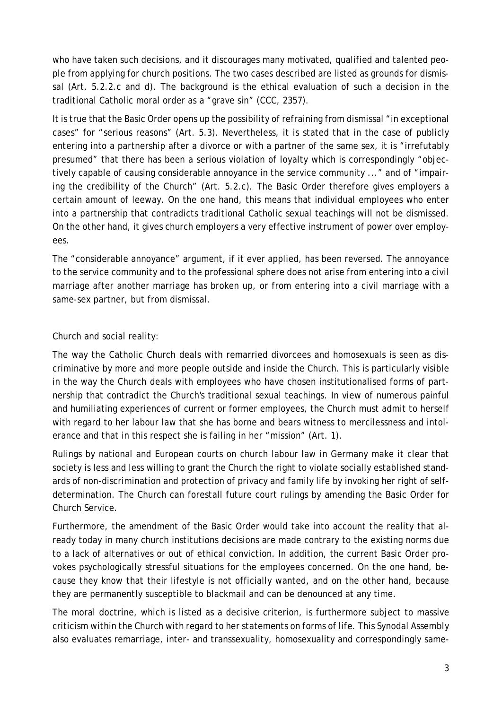who have taken such decisions, and it discourages many motivated, qualified and talented people from applying for church positions. The two cases described are listed as grounds for dismissal (Art. 5.2.2.c and d). The background is the ethical evaluation of such a decision in the traditional Catholic moral order as a "grave sin" (CCC, 2357).

It is true that the Basic Order opens up the possibility of refraining from dismissal "in exceptional cases" for "serious reasons" (Art. 5.3). Nevertheless, it is stated that in the case of publicly entering into a partnership after a divorce or with a partner of the same sex, it is "irrefutably presumed" that there has been a serious violation of loyalty which is correspondingly "objectively capable of causing considerable annoyance in the service community ..." and of "impairing the credibility of the Church" (Art. 5.2.c). The Basic Order therefore gives employers a certain amount of leeway. On the one hand, this means that individual employees who enter into a partnership that contradicts traditional Catholic sexual teachings will not be dismissed. On the other hand, it gives church employers a very effective instrument of power over employees.

The "considerable annoyance" argument, if it ever applied, has been reversed. The annoyance to the service community and to the professional sphere does not arise from entering into a civil marriage after another marriage has broken up, or from entering into a civil marriage with a same-sex partner, but from dismissal.

## Church and social reality:

The way the Catholic Church deals with remarried divorcees and homosexuals is seen as discriminative by more and more people outside and inside the Church. This is particularly visible in the way the Church deals with employees who have chosen institutionalised forms of partnership that contradict the Church's traditional sexual teachings. In view of numerous painful and humiliating experiences of current or former employees, the Church must admit to herself with regard to her labour law that she has borne and bears witness to mercilessness and intolerance and that in this respect she is failing in her "mission" (Art. 1).

Rulings by national and European courts on church labour law in Germany make it clear that society is less and less willing to grant the Church the right to violate socially established standards of non-discrimination and protection of privacy and family life by invoking her right of selfdetermination. The Church can forestall future court rulings by amending the Basic Order for Church Service.

Furthermore, the amendment of the Basic Order would take into account the reality that already today in many church institutions decisions are made contrary to the existing norms due to a lack of alternatives or out of ethical conviction. In addition, the current Basic Order provokes psychologically stressful situations for the employees concerned. On the one hand, because they know that their lifestyle is not officially wanted, and on the other hand, because they are permanently susceptible to blackmail and can be denounced at any time.

The moral doctrine, which is listed as a decisive criterion, is furthermore subject to massive criticism within the Church with regard to her statements on forms of life. This Synodal Assembly also evaluates remarriage, inter- and transsexuality, homosexuality and correspondingly same